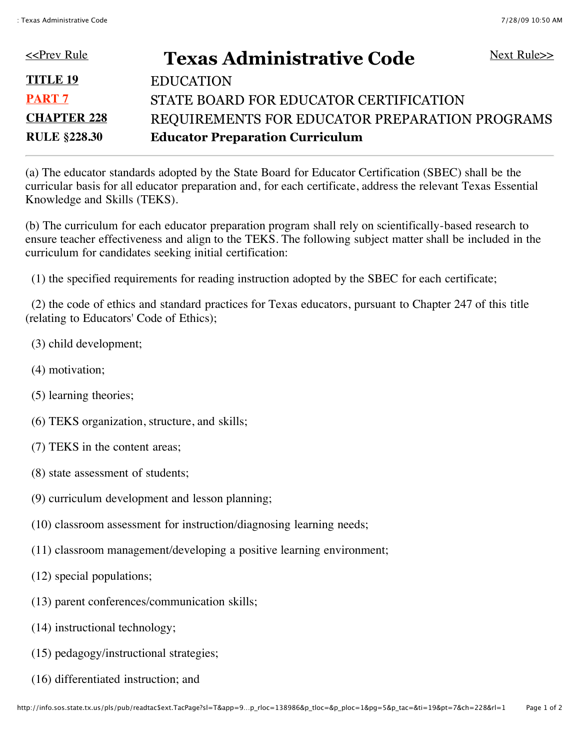| < <prev rule<="" th=""><th><b>Texas Administrative Code</b></th><th>Next Rule<math>\gg</math></th></prev> | <b>Texas Administrative Code</b>               | Next Rule $\gg$ |
|-----------------------------------------------------------------------------------------------------------|------------------------------------------------|-----------------|
| <b>TITLE 19</b>                                                                                           | <b>EDUCATION</b>                               |                 |
| <b>PART 7</b>                                                                                             | STATE BOARD FOR EDUCATOR CERTIFICATION         |                 |
| <b>CHAPTER 228</b>                                                                                        | REQUIREMENTS FOR EDUCATOR PREPARATION PROGRAMS |                 |
| <b>RULE §228.30</b>                                                                                       | <b>Educator Preparation Curriculum</b>         |                 |

(a) The educator standards adopted by the State Board for Educator Certification (SBEC) shall be the curricular basis for all educator preparation and, for each certificate, address the relevant Texas Essential Knowledge and Skills (TEKS).

(b) The curriculum for each educator preparation program shall rely on scientifically-based research to ensure teacher effectiveness and align to the TEKS. The following subject matter shall be included in the curriculum for candidates seeking initial certification:

(1) the specified requirements for reading instruction adopted by the SBEC for each certificate;

 (2) the code of ethics and standard practices for Texas educators, pursuant to Chapter 247 of this title (relating to Educators' Code of Ethics);

- (3) child development;
- (4) motivation;
- (5) learning theories;
- (6) TEKS organization, structure, and skills;
- (7) TEKS in the content areas;
- (8) state assessment of students;
- (9) curriculum development and lesson planning;
- (10) classroom assessment for instruction/diagnosing learning needs;
- (11) classroom management/developing a positive learning environment;
- (12) special populations;
- (13) parent conferences/communication skills;
- (14) instructional technology;
- (15) pedagogy/instructional strategies;
- (16) differentiated instruction; and